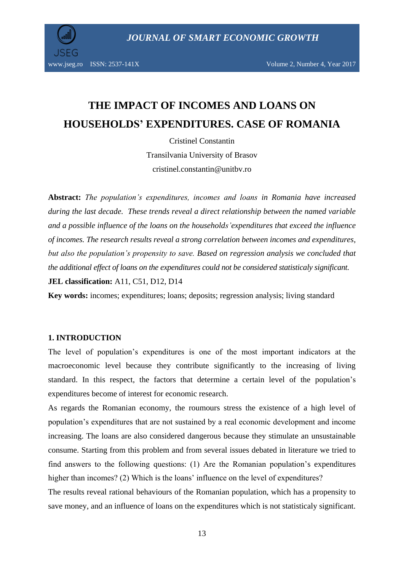*JOURNAL OF SMART ECONOMIC GROWTH*



www.jseg.ro ISSN: 2537-141X Volume 2, Number 4, Year 2017

# **THE IMPACT OF INCOMES AND LOANS ON HOUSEHOLDS' EXPENDITURES. CASE OF ROMANIA**

Cristinel Constantin Transilvania University of Brasov cristinel.constantin@unitbv.ro

**Abstract:** *The population's expenditures, incomes and loans in Romania have increased during the last decade. These trends reveal a direct relationship between the named variable and a possible influence of the loans on the households'expenditures that exceed the influence of incomes. The research results reveal a strong correlation between incomes and expenditures, but also the population's propensity to save. Based on regression analysis we concluded that the additional effect of loans on the expenditures could not be considered statisticaly significant.*

**JEL classification:** A11, C51, D12, D14

**Key words:** incomes; expenditures; loans; deposits; regression analysis; living standard

#### **1. INTRODUCTION**

The level of population's expenditures is one of the most important indicators at the macroeconomic level because they contribute significantly to the increasing of living standard. In this respect, the factors that determine a certain level of the population's expenditures become of interest for economic research.

As regards the Romanian economy, the roumours stress the existence of a high level of population's expenditures that are not sustained by a real economic development and income increasing. The loans are also considered dangerous because they stimulate an unsustainable consume. Starting from this problem and from several issues debated in literature we tried to find answers to the following questions: (1) Are the Romanian population's expenditures higher than incomes? (2) Which is the loans' influence on the level of expenditures?

The results reveal rational behaviours of the Romanian population, which has a propensity to save money, and an influence of loans on the expenditures which is not statisticaly significant.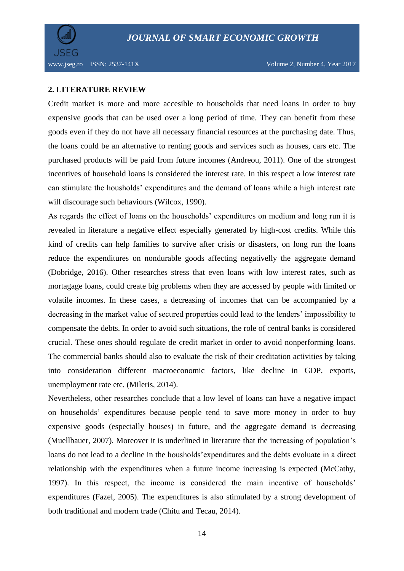

www.jseg.ro ISSN: 2537-141X Volume 2, Number 4, Year 2017

## **2. LITERATURE REVIEW**

Credit market is more and more accesible to households that need loans in order to buy expensive goods that can be used over a long period of time. They can benefit from these goods even if they do not have all necessary financial resources at the purchasing date. Thus, the loans could be an alternative to renting goods and services such as houses, cars etc. The purchased products will be paid from future incomes (Andreou, 2011). One of the strongest incentives of household loans is considered the interest rate. In this respect a low interest rate can stimulate the housholds' expenditures and the demand of loans while a high interest rate will discourage such behaviours (Wilcox, 1990).

As regards the effect of loans on the households' expenditures on medium and long run it is revealed in literature a negative effect especially generated by high-cost credits. While this kind of credits can help families to survive after crisis or disasters, on long run the loans reduce the expenditures on nondurable goods affecting negativelly the aggregate demand (Dobridge, 2016). Other researches stress that even loans with low interest rates, such as mortagage loans, could create big problems when they are accessed by people with limited or volatile incomes. In these cases, a decreasing of incomes that can be accompanied by a decreasing in the market value of secured properties could lead to the lenders' impossibility to compensate the debts. In order to avoid such situations, the role of central banks is considered crucial. These ones should regulate de credit market in order to avoid nonperforming loans. The commercial banks should also to evaluate the risk of their creditation activities by taking into consideration different macroeconomic factors, like decline in GDP, exports, unemployment rate etc. (Mileris, 2014).

Nevertheless, other researches conclude that a low level of loans can have a negative impact on households' expenditures because people tend to save more money in order to buy expensive goods (especially houses) in future, and the aggregate demand is decreasing (Muellbauer, 2007). Moreover it is underlined in literature that the increasing of population's loans do not lead to a decline in the housholds'expenditures and the debts evoluate in a direct relationship with the expenditures when a future income increasing is expected (McCathy, 1997). In this respect, the income is considered the main incentive of households' expenditures (Fazel, 2005). The expenditures is also stimulated by a strong development of both traditional and modern trade (Chitu and Tecau, 2014).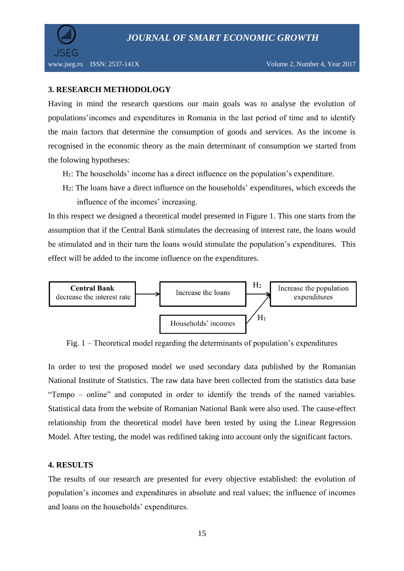

## **3. RESEARCH METHODOLOGY**

Having in mind the research questions our main goals was to analyse the evolution of populations'incomes and expenditures in Romania in the last period of time and to identify the main factors that determine the consumption of goods and services. As the income is recognised in the economic theory as the main determinant of consumption we started from the folowing hypotheses:

- H1: The households' income has a direct influence on the population's expenditure.
- H2: The loans have a direct influence on the households' expenditures, which exceeds the influence of the incomes' increasing.

In this respect we designed a theoretical model presented in Figure 1. This one starts from the assumption that if the Central Bank stimulates the decreasing of interest rate, the loans would be stimulated and in their turn the loans would stimulate the population's expenditures. This effect will be added to the income influence on the expenditures.



Fig. 1 – Theoretical model regarding the determinants of population's expenditures

In order to test the proposed model we used secondary data published by the Romanian National Institute of Statistics. The raw data have been collected from the statistics data base "Tempo – online" and computed in order to identify the trends of the named variables. Statistical data from the website of Romanian National Bank were also used. The cause-effect relationship from the theoretical model have been tested by using the Linear Regression Model. After testing, the model was redifined taking into account only the significant factors.

## **4. RESULTS**

The results of our research are presented for every objective established: the evolution of population's incomes and expenditures in absolute and real values; the influence of incomes and loans on the households' expenditures.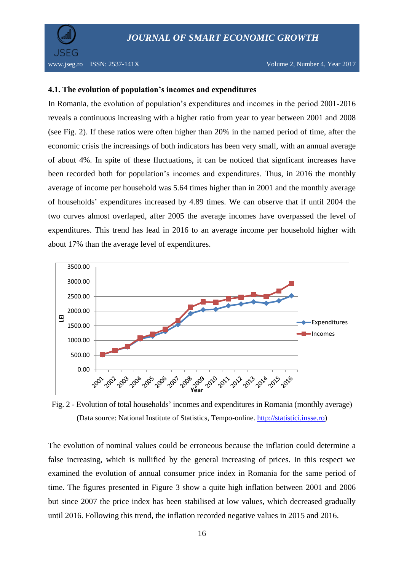

#### **4.1. The evolution of population's incomes and expenditures**

In Romania, the evolution of population's expenditures and incomes in the period 2001-2016 reveals a continuous increasing with a higher ratio from year to year between 2001 and 2008 (see Fig. 2). If these ratios were often higher than 20% in the named period of time, after the economic crisis the increasings of both indicators has been very small, with an annual average of about 4%. In spite of these fluctuations, it can be noticed that signficant increases have been recorded both for population's incomes and expenditures. Thus, in 2016 the monthly average of income per household was 5.64 times higher than in 2001 and the monthly average of households' expenditures increased by 4.89 times. We can observe that if until 2004 the two curves almost overlaped, after 2005 the average incomes have overpassed the level of expenditures. This trend has lead in 2016 to an average income per household higher with about 17% than the average level of expenditures.



Fig. 2 - Evolution of total households' incomes and expenditures in Romania (monthly average) (Data source: National Institute of Statistics, Tempo-online. [http://statistici.insse.ro\)](http://statistici.insse.ro/)

The evolution of nominal values could be erroneous because the inflation could determine a false increasing, which is nullified by the general increasing of prices. In this respect we examined the evolution of annual consumer price index in Romania for the same period of time. The figures presented in Figure 3 show a quite high inflation between 2001 and 2006 but since 2007 the price index has been stabilised at low values, which decreased gradually until 2016. Following this trend, the inflation recorded negative values in 2015 and 2016.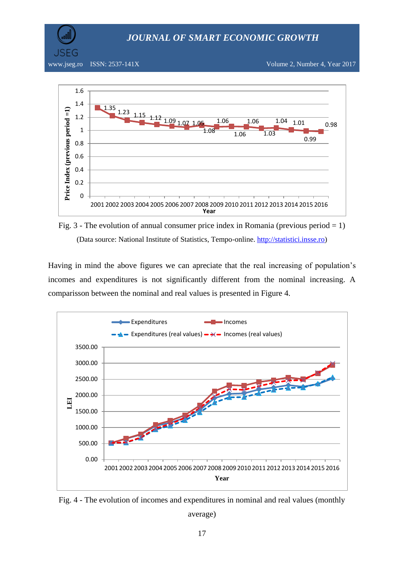*JOURNAL OF SMART ECONOMIC GROWTH*

SEG

www.jseg.ro ISSN: 2537-141X Volume 2, Number 4, Year 2017



Fig. 3 - The evolution of annual consumer price index in Romania (previous period  $= 1$ ) (Data source: National Institute of Statistics, Tempo-online. [http://statistici.insse.ro\)](http://statistici.insse.ro/)

Having in mind the above figures we can apreciate that the real increasing of population's incomes and expenditures is not significantly different from the nominal increasing. A comparisson between the nominal and real values is presented in Figure 4.



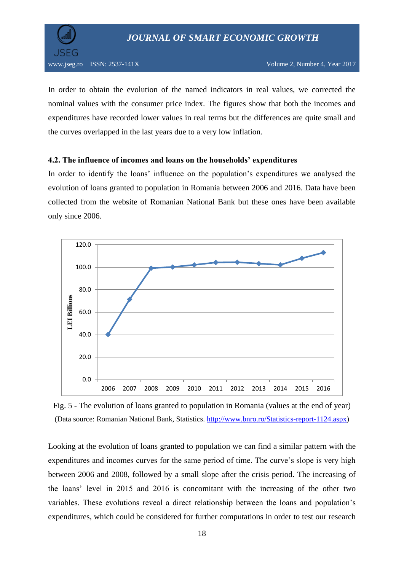

In order to obtain the evolution of the named indicators in real values, we corrected the nominal values with the consumer price index. The figures show that both the incomes and expenditures have recorded lower values in real terms but the differences are quite small and the curves overlapped in the last years due to a very low inflation.

## **4.2. The influence of incomes and loans on the households' expenditures**

In order to identify the loans' influence on the population's expenditures we analysed the evolution of loans granted to population in Romania between 2006 and 2016. Data have been collected from the website of Romanian National Bank but these ones have been available only since 2006.



Fig. 5 - The evolution of loans granted to population in Romania (values at the end of year) (Data source: Romanian National Bank, Statistics. [http://www.bnro.ro/Statistics-report-1124.aspx\)](http://www.bnro.ro/Statistics-report-1124.aspx)

Looking at the evolution of loans granted to population we can find a similar pattern with the expenditures and incomes curves for the same period of time. The curve's slope is very high between 2006 and 2008, followed by a small slope after the crisis period. The increasing of the loans' level in 2015 and 2016 is concomitant with the increasing of the other two variables. These evolutions reveal a direct relationship between the loans and population's expenditures, which could be considered for further computations in order to test our research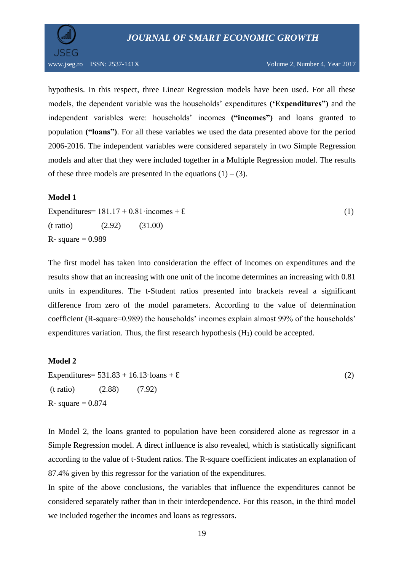

hypothesis. In this respect, three Linear Regression models have been used. For all these models, the dependent variable was the households' expenditures **('Expenditures")** and the independent variables were: households' incomes **("incomes")** and loans granted to population **("loans")**. For all these variables we used the data presented above for the period 2006-2016. The independent variables were considered separately in two Simple Regression models and after that they were included together in a Multiple Regression model. The results of these three models are presented in the equations  $(1) - (3)$ .

## **Model 1**

Expenditures=  $181.17 + 0.81 \cdot \text{incomes} + \epsilon$  (1)  $(t \text{ ratio})$   $(2.92)$   $(31.00)$  $R-$  square = 0.989

The first model has taken into consideration the effect of incomes on expenditures and the results show that an increasing with one unit of the income determines an increasing with 0.81 units in expenditures. The t-Student ratios presented into brackets reveal a significant difference from zero of the model parameters. According to the value of determination coefficient (R-square=0.989) the households' incomes explain almost 99% of the households' expenditures variation. Thus, the first research hypothesis  $(H<sub>1</sub>)$  could be accepted.

## **Model 2**

Expenditures=  $531.83 + 16.13 \cdot \text{loans} + \mathcal{E}$  (2) (t ratio) (2.88) (7.92) R- square  $= 0.874$ 

In Model 2, the loans granted to population have been considered alone as regressor in a Simple Regression model. A direct influence is also revealed, which is statistically significant according to the value of t-Student ratios. The R-square coefficient indicates an explanation of 87.4% given by this regressor for the variation of the expenditures.

In spite of the above conclusions, the variables that influence the expenditures cannot be considered separately rather than in their interdependence. For this reason, in the third model we included together the incomes and loans as regressors.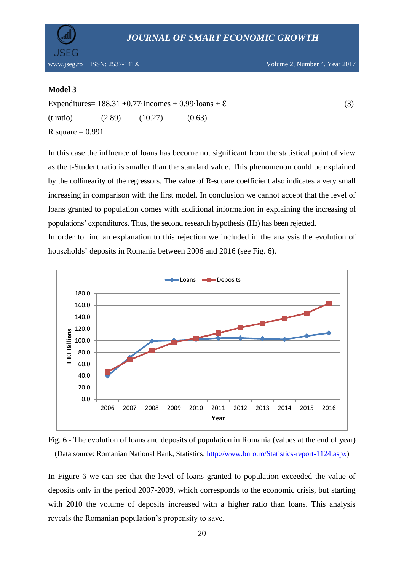

#### **Model 3**

JSEG

Expenditures=  $188.31 + 0.77 \cdot \text{incomes} + 0.99 \cdot \text{loans} + \epsilon$  (3)  $(t \text{ ratio})$   $(2.89)$   $(10.27)$   $(0.63)$ R square  $= 0.991$ 

In this case the influence of loans has become not significant from the statistical point of view as the t-Student ratio is smaller than the standard value. This phenomenon could be explained by the collinearity of the regressors. The value of R-square coefficient also indicates a very small increasing in comparison with the first model. In conclusion we cannot accept that the level of loans granted to population comes with additional information in explaining the increasing of populations' expenditures. Thus, the second research hypothesis (H2) has been rejected.

In order to find an explanation to this rejection we included in the analysis the evolution of households' deposits in Romania between 2006 and 2016 (see Fig. 6).





In Figure 6 we can see that the level of loans granted to population exceeded the value of deposits only in the period 2007-2009, which corresponds to the economic crisis, but starting with 2010 the volume of deposits increased with a higher ratio than loans. This analysis reveals the Romanian population's propensity to save.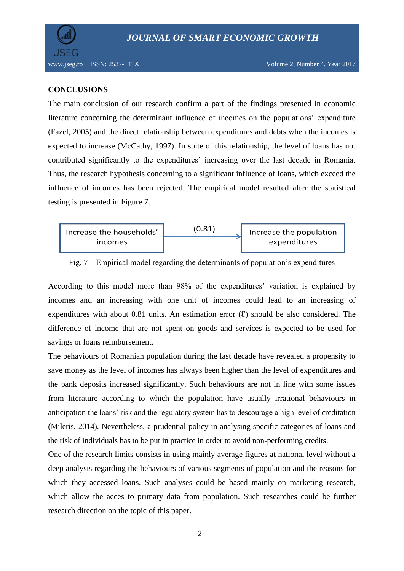

## **CONCLUSIONS**

The main conclusion of our research confirm a part of the findings presented in economic literature concerning the determinant influence of incomes on the populations' expenditure (Fazel, 2005) and the direct relationship between expenditures and debts when the incomes is expected to increase (McCathy, 1997). In spite of this relationship, the level of loans has not contributed significantly to the expenditures' increasing over the last decade in Romania. Thus, the research hypothesis concerning to a significant influence of loans, which exceed the influence of incomes has been rejected. The empirical model resulted after the statistical testing is presented in Figure 7.



Fig. 7 – Empirical model regarding the determinants of population's expenditures

According to this model more than 98% of the expenditures' variation is explained by incomes and an increasing with one unit of incomes could lead to an increasing of expenditures with about 0.81 units. An estimation error  $(E)$  should be also considered. The difference of income that are not spent on goods and services is expected to be used for savings or loans reimbursement.

The behaviours of Romanian population during the last decade have revealed a propensity to save money as the level of incomes has always been higher than the level of expenditures and the bank deposits increased significantly. Such behaviours are not in line with some issues from literature according to which the population have usually irrational behaviours in anticipation the loans' risk and the regulatory system has to descourage a high level of creditation (Mileris, 2014). Nevertheless, a prudential policy in analysing specific categories of loans and the risk of individuals has to be put in practice in order to avoid non-performing credits.

One of the research limits consists in using mainly average figures at national level without a deep analysis regarding the behaviours of various segments of population and the reasons for which they accessed loans. Such analyses could be based mainly on marketing research, which allow the acces to primary data from population. Such researches could be further research direction on the topic of this paper.